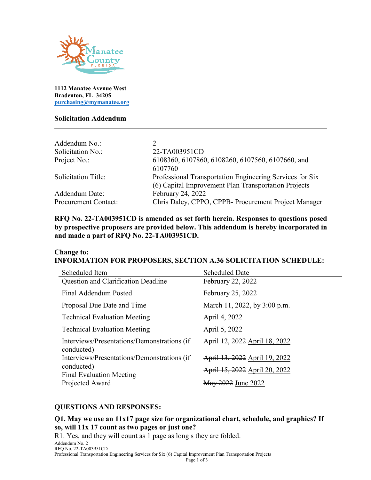

**1112 Manatee Avenue West Bradenton, FL 34205 [purchasing@mymanatee.org](mailto:purchasing@mymanatee.org)**

#### **Solicitation Addendum**

| 22-TA003951CD                                            |
|----------------------------------------------------------|
| 6108360, 6107860, 6108260, 6107560, 6107660, and         |
| 6107760                                                  |
| Professional Transportation Engineering Services for Six |
| (6) Capital Improvement Plan Transportation Projects     |
| February 24, 2022                                        |
| Chris Daley, CPPO, CPPB- Procurement Project Manager     |
|                                                          |

**RFQ No. 22-TA003951CD is amended as set forth herein. Responses to questions posed by prospective proposers are provided below. This addendum is hereby incorporated in and made a part of RFQ No. 22-TA003951CD.**

#### **Change to: INFORMATION FOR PROPOSERS, SECTION A.36 SOLICITATION SCHEDULE:**

| Scheduled Item                                            | <b>Scheduled Date</b>         |
|-----------------------------------------------------------|-------------------------------|
| Question and Clarification Deadline                       | February 22, 2022             |
| Final Addendum Posted                                     | February 25, 2022             |
| Proposal Due Date and Time                                | March 11, 2022, by 3:00 p.m.  |
| <b>Technical Evaluation Meeting</b>                       | April 4, 2022                 |
| <b>Technical Evaluation Meeting</b>                       | April 5, 2022                 |
| Interviews/Presentations/Demonstrations (if<br>conducted) | April 12, 2022 April 18, 2022 |
| Interviews/Presentations/Demonstrations (if               | April 13, 2022 April 19, 2022 |
| conducted)<br><b>Final Evaluation Meeting</b>             | April 15, 2022 April 20, 2022 |
| Projected Award                                           | May 2022 June 2022            |

#### **QUESTIONS AND RESPONSES:**

#### **Q1. May we use an 11x17 page size for organizational chart, schedule, and graphics? If so, will 11x 17 count as two pages or just one?**

R1. Yes, and they will count as 1 page as long s they are folded.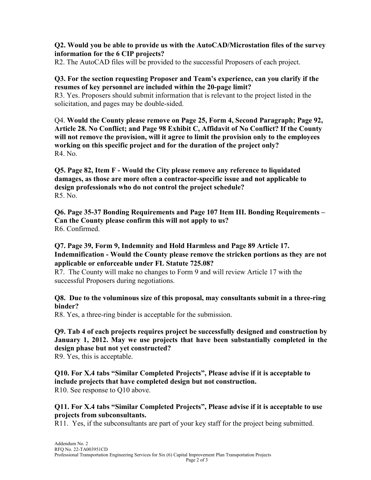#### **Q2. Would you be able to provide us with the AutoCAD/Microstation files of the survey information for the 6 CIP projects?**

R2. The AutoCAD files will be provided to the successful Proposers of each project.

#### **Q3. For the section requesting Proposer and Team's experience, can you clarify if the resumes of key personnel are included within the 20-page limit?**

R3. Yes. Proposers should submit information that is relevant to the project listed in the solicitation, and pages may be double-sided.

Q4. **Would the County please remove on Page 25, Form 4, Second Paragraph; Page 92, Article 28. No Conflict; and Page 98 Exhibit C, Affidavit of No Conflict? If the County will not remove the provision, will it agree to limit the provision only to the employees working on this specific project and for the duration of the project only?** R4. No.

**Q5. Page 82, Item F - Would the City please remove any reference to liquidated damages, as those are more often a contractor-specific issue and not applicable to design professionals who do not control the project schedule?** R5. No.

**Q6. Page 35-37 Bonding Requirements and Page 107 Item III. Bonding Requirements – Can the County please confirm this will not apply to us?** R6. Confirmed.

### **Q7. Page 39, Form 9, Indemnity and Hold Harmless and Page 89 Article 17. Indemnification - Would the County please remove the stricken portions as they are not applicable or enforceable under FL Statute 725.08?**

R7. The County will make no changes to Form 9 and will review Article 17 with the successful Proposers during negotiations.

#### **Q8. Due to the voluminous size of this proposal, may consultants submit in a three-ring binder?**

R8. Yes, a three-ring binder is acceptable for the submission.

## **Q9. Tab 4 of each projects requires project be successfully designed and construction by January 1, 2012. May we use projects that have been substantially completed in the design phase but not yet constructed?**

R9. Yes, this is acceptable.

# **Q10. For X.4 tabs "Similar Completed Projects", Please advise if it is acceptable to include projects that have completed design but not construction.**

R10. See response to Q10 above.

#### **Q11. For X.4 tabs "Similar Completed Projects", Please advise if it is acceptable to use projects from subconsultants.**

R11. Yes, if the subconsultants are part of your key staff for the project being submitted.